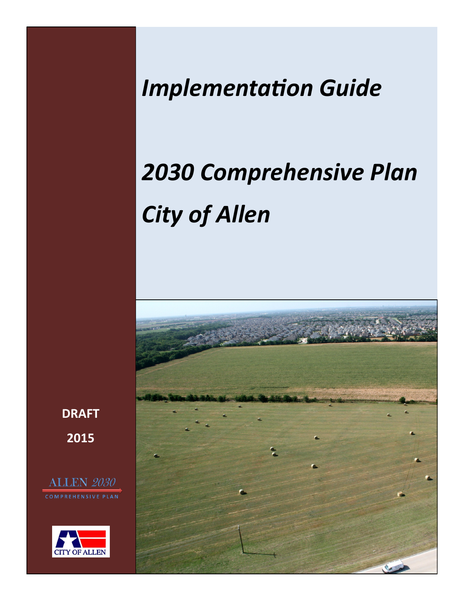# *Implementation Guide*

# *2030 Comprehensive Plan City of Allen*



**DRAFT 2015**

**ALLEN 2030 COMPREHENSIVE PLAN** 

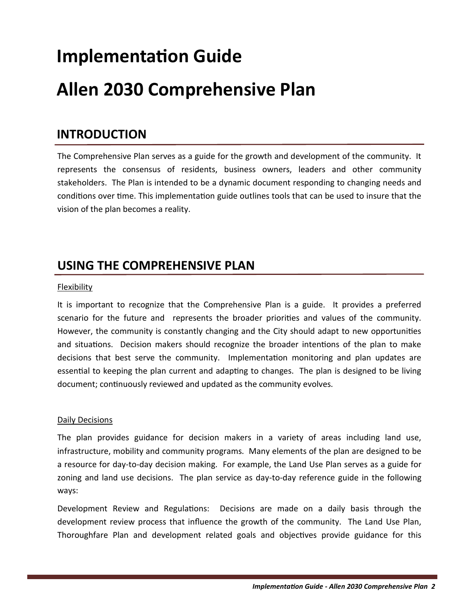# **Implementation Guide**

## **Allen 2030 Comprehensive Plan**

### **INTRODUCTION**

The Comprehensive Plan serves as a guide for the growth and development of the community. It represents the consensus of residents, business owners, leaders and other community stakeholders. The Plan is intended to be a dynamic document responding to changing needs and conditions over time. This implementation guide outlines tools that can be used to insure that the vision of the plan becomes a reality.

## **USING THE COMPREHENSIVE PLAN**

#### Flexibility

It is important to recognize that the Comprehensive Plan is a guide. It provides a preferred scenario for the future and represents the broader priorities and values of the community. However, the community is constantly changing and the City should adapt to new opportunities and situations. Decision makers should recognize the broader intentions of the plan to make decisions that best serve the community. Implementation monitoring and plan updates are essential to keeping the plan current and adapting to changes. The plan is designed to be living document; continuously reviewed and updated as the community evolves.

#### Daily Decisions

The plan provides guidance for decision makers in a variety of areas including land use, infrastructure, mobility and community programs. Many elements of the plan are designed to be a resource for day-to-day decision making. For example, the Land Use Plan serves as a guide for zoning and land use decisions. The plan service as day-to-day reference guide in the following ways:

Development Review and Regulations: Decisions are made on a daily basis through the development review process that influence the growth of the community. The Land Use Plan, Thoroughfare Plan and development related goals and objectives provide guidance for this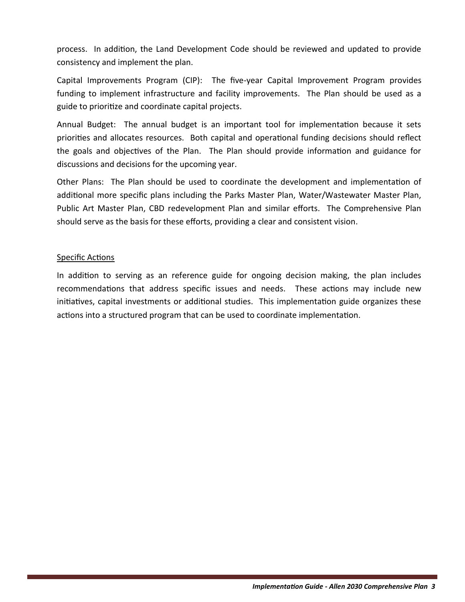process. In addition, the Land Development Code should be reviewed and updated to provide consistency and implement the plan.

Capital Improvements Program (CIP): The five-year Capital Improvement Program provides funding to implement infrastructure and facility improvements. The Plan should be used as a guide to prioritize and coordinate capital projects.

Annual Budget: The annual budget is an important tool for implementation because it sets priorities and allocates resources. Both capital and operational funding decisions should reflect the goals and objectives of the Plan. The Plan should provide information and guidance for discussions and decisions for the upcoming year.

Other Plans: The Plan should be used to coordinate the development and implementation of additional more specific plans including the Parks Master Plan, Water/Wastewater Master Plan, Public Art Master Plan, CBD redevelopment Plan and similar efforts. The Comprehensive Plan should serve as the basis for these efforts, providing a clear and consistent vision.

#### Specific Actions

In addition to serving as an reference guide for ongoing decision making, the plan includes recommendations that address specific issues and needs. These actions may include new initiatives, capital investments or additional studies. This implementation guide organizes these actions into a structured program that can be used to coordinate implementation.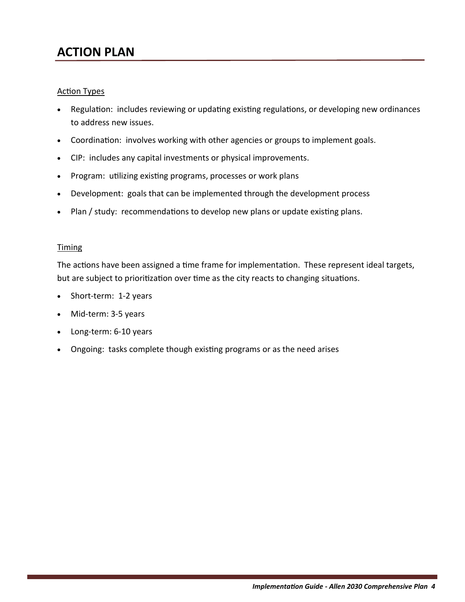## **ACTION PLAN**

#### Action Types

- Regulation: includes reviewing or updating existing regulations, or developing new ordinances to address new issues.
- Coordination: involves working with other agencies or groups to implement goals.
- CIP: includes any capital investments or physical improvements.
- Program: utilizing existing programs, processes or work plans
- Development: goals that can be implemented through the development process
- Plan / study: recommendations to develop new plans or update existing plans.

#### Timing

The actions have been assigned a time frame for implementation. These represent ideal targets, but are subject to prioritization over time as the city reacts to changing situations.

- Short-term: 1-2 years
- Mid-term: 3-5 years
- Long-term: 6-10 years
- Ongoing: tasks complete though existing programs or as the need arises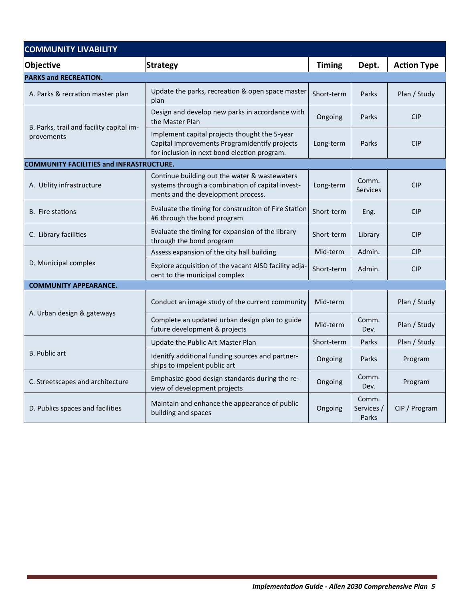| <b>COMMUNITY LIVABILITY</b>                            |                                                                                                                                                |               |                              |                    |
|--------------------------------------------------------|------------------------------------------------------------------------------------------------------------------------------------------------|---------------|------------------------------|--------------------|
| Objective                                              | <b>Strategy</b>                                                                                                                                | <b>Timing</b> | Dept.                        | <b>Action Type</b> |
| <b>PARKS and RECREATION.</b>                           |                                                                                                                                                |               |                              |                    |
| A. Parks & recration master plan                       | Update the parks, recreation & open space master<br>plan                                                                                       | Short-term    | Parks                        | Plan / Study       |
| B. Parks, trail and facility capital im-<br>provements | Design and develop new parks in accordance with<br>the Master Plan                                                                             | Ongoing       | Parks                        | <b>CIP</b>         |
|                                                        | Implement capital projects thought the 5-year<br>Capital Improvements ProgramIdentify projects<br>for inclusion in next bond election program. | Long-term     | Parks                        | <b>CIP</b>         |
| <b>COMMUNITY FACILITIES and INFRASTRUCTURE.</b>        |                                                                                                                                                |               |                              |                    |
| A. Utility infrastructure                              | Continue building out the water & wastewaters<br>systems through a combination of capital invest-<br>ments and the development process.        | Long-term     | Comm.<br><b>Services</b>     | <b>CIP</b>         |
| <b>B.</b> Fire stations                                | Evaluate the timing for construciton of Fire Station<br>#6 through the bond program                                                            | Short-term    | Eng.                         | <b>CIP</b>         |
| C. Library facilities                                  | Evaluate the timing for expansion of the library<br>through the bond program                                                                   | Short-term    | Library                      | <b>CIP</b>         |
|                                                        | Assess expansion of the city hall building                                                                                                     | Mid-term      | Admin.                       | <b>CIP</b>         |
| D. Municipal complex                                   | Explore acquisition of the vacant AISD facility adja-<br>cent to the municipal complex                                                         | Short-term    | Admin.                       | <b>CIP</b>         |
| <b>COMMUNITY APPEARANCE.</b>                           |                                                                                                                                                |               |                              |                    |
| A. Urban design & gateways                             | Conduct an image study of the current community                                                                                                | Mid-term      |                              | Plan / Study       |
|                                                        | Complete an updated urban design plan to guide<br>future development & projects                                                                | Mid-term      | Comm.<br>Dev.                | Plan / Study       |
|                                                        | Update the Public Art Master Plan                                                                                                              | Short-term    | Parks                        | Plan / Study       |
| <b>B.</b> Public art                                   | Idenitfy additional funding sources and partner-<br>ships to impelent public art                                                               | Ongoing       | Parks                        | Program            |
| C. Streetscapes and architecture                       | Emphasize good design standards during the re-<br>view of development projects                                                                 | Ongoing       | Comm.<br>Dev.                | Program            |
| D. Publics spaces and facilities                       | Maintain and enhance the appearance of public<br>building and spaces                                                                           | Ongoing       | Comm.<br>Services /<br>Parks | CIP / Program      |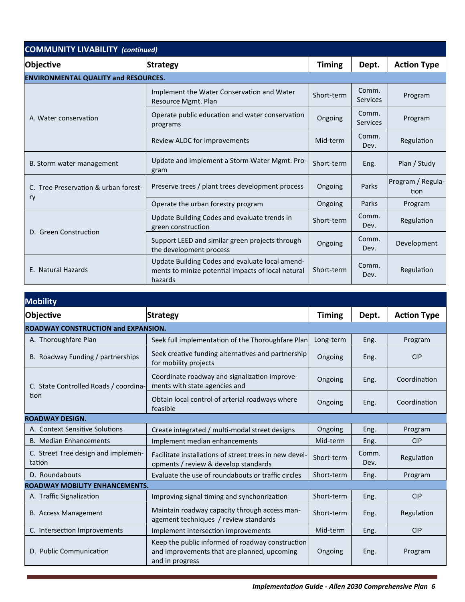| <b>COMMUNITY LIVABILITY (continued)</b>     |                                                                                                                  |               |                          |                           |  |
|---------------------------------------------|------------------------------------------------------------------------------------------------------------------|---------------|--------------------------|---------------------------|--|
| Objective                                   | Strategy                                                                                                         | <b>Timing</b> | Dept.                    | <b>Action Type</b>        |  |
| <b>ENVIRONMENTAL QUALITY and RESOURCES.</b> |                                                                                                                  |               |                          |                           |  |
| A. Water conservation                       | Implement the Water Conservation and Water<br>Resource Mgmt. Plan                                                | Short-term    | Comm.<br><b>Services</b> | Program                   |  |
|                                             | Operate public education and water conservation<br>programs                                                      | Ongoing       | Comm.<br><b>Services</b> | Program                   |  |
|                                             | Review ALDC for improvements                                                                                     | Mid-term      | Comm.<br>Dev.            | Regulation                |  |
| B. Storm water management                   | Update and implement a Storm Water Mgmt. Pro-<br>gram                                                            | Short-term    | Eng.                     | Plan / Study              |  |
| C. Tree Preservation & urban forest-        | Preserve trees / plant trees development process                                                                 | Ongoing       | Parks                    | Program / Regula-<br>tion |  |
| ry                                          | Operate the urban forestry program                                                                               | Ongoing       | Parks                    | Program                   |  |
| D. Green Construction                       | Update Building Codes and evaluate trends in<br>green construction                                               | Short-term    | Comm.<br>Dev.            | Regulation                |  |
|                                             | Support LEED and similar green projects through<br>the development process                                       | Ongoing       | Comm.<br>Dev.            | Development               |  |
| E. Natural Hazards                          | Update Building Codes and evaluate local amend-<br>ments to minize potential impacts of local natural<br>hazards | Short-term    | Comm.<br>Dev.            | Regulation                |  |

| <b>Mobility</b>                               |                                                                                                                    |               |               |                    |  |
|-----------------------------------------------|--------------------------------------------------------------------------------------------------------------------|---------------|---------------|--------------------|--|
| Objective                                     | <b>Strategy</b>                                                                                                    | <b>Timing</b> | Dept.         | <b>Action Type</b> |  |
| <b>ROADWAY CONSTRUCTION and EXPANSION.</b>    |                                                                                                                    |               |               |                    |  |
| A. Thoroughfare Plan                          | Seek full implementation of the Thoroughfare Plan                                                                  | Long-term     | Eng.          | Program            |  |
| B. Roadway Funding / partnerships             | Seek creative funding alternatives and partnership<br>for mobility projects                                        | Ongoing       | Eng.          | <b>CIP</b>         |  |
| C. State Controlled Roads / coordina-         | Coordinate roadway and signalization improve-<br>ments with state agencies and                                     | Ongoing       | Eng.          | Coordination       |  |
| tion                                          | Obtain local control of arterial roadways where<br>feasible                                                        | Ongoing       | Eng.          | Coordination       |  |
| <b>ROADWAY DESIGN.</b>                        |                                                                                                                    |               |               |                    |  |
| A. Context Sensitive Solutions                | Create integrated / multi-modal street designs                                                                     | Ongoing       | Eng.          | Program            |  |
| <b>B. Median Enhancements</b>                 | Implement median enhancements                                                                                      | Mid-term      | Eng.          | <b>CIP</b>         |  |
| C. Street Tree design and implemen-<br>tation | Facilitate installations of street trees in new devel-<br>opments / review & develop standards                     | Short-term    | Comm.<br>Dev. | Regulation         |  |
| D. Roundabouts                                | Evaluate the use of roundabouts or traffic circles                                                                 | Short-term    | Eng.          | Program            |  |
| <b>ROADWAY MOBILITY ENHANCEMENTS.</b>         |                                                                                                                    |               |               |                    |  |
| A. Traffic Signalization                      | Improving signal timing and synchonrization                                                                        | Short-term    | Eng.          | <b>CIP</b>         |  |
| <b>B. Access Management</b>                   | Maintain roadway capacity through access man-<br>agement techniques / review standards                             | Short-term    | Eng.          | Regulation         |  |
| C. Intersection Improvements                  | Implement intersection improvements                                                                                | Mid-term      | Eng.          | <b>CIP</b>         |  |
| D. Public Communication                       | Keep the public informed of roadway construction<br>and improvements that are planned, upcoming<br>and in progress | Ongoing       | Eng.          | Program            |  |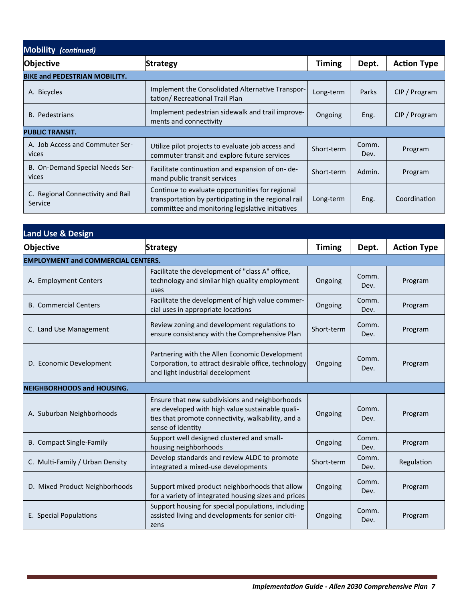| <b>Mobility (continued)</b>                  |                                                                                                                                                             |               |               |                    |
|----------------------------------------------|-------------------------------------------------------------------------------------------------------------------------------------------------------------|---------------|---------------|--------------------|
| Objective                                    | Strategy                                                                                                                                                    | <b>Timing</b> | Dept.         | <b>Action Type</b> |
| <b>BIKE and PEDESTRIAN MOBILITY.</b>         |                                                                                                                                                             |               |               |                    |
| A. Bicycles                                  | Implement the Consolidated Alternative Transpor-<br>tation/ Recreational Trail Plan                                                                         | Long-term     | Parks         | CIP / Program      |
| B. Pedestrians                               | Implement pedestrian sidewalk and trail improve-<br>ments and connectivity                                                                                  | Ongoing       | Eng.          | CIP / Program      |
| <b>PUBLIC TRANSIT.</b>                       |                                                                                                                                                             |               |               |                    |
| A. Job Access and Commuter Ser-<br>vices     | Utilize pilot projects to evaluate job access and<br>commuter transit and explore future services                                                           | Short-term    | Comm.<br>Dev. | Program            |
| B. On-Demand Special Needs Ser-<br>vices     | Facilitate continuation and expansion of on-de-<br>mand public transit services                                                                             | Short-term    | Admin.        | Program            |
| C. Regional Connectivity and Rail<br>Service | Continue to evaluate opportunities for regional<br>transportation by participating in the regional rail<br>committee and monitoring legislative initiatives | Long-term     | Eng.          | Coordination       |

| <b>Land Use &amp; Design</b>              |                                                                                                                                                                               |               |               |                    |
|-------------------------------------------|-------------------------------------------------------------------------------------------------------------------------------------------------------------------------------|---------------|---------------|--------------------|
| Objective                                 | <b>Strategy</b>                                                                                                                                                               | <b>Timing</b> | Dept.         | <b>Action Type</b> |
| <b>EMPLOYMENT and COMMERCIAL CENTERS.</b> |                                                                                                                                                                               |               |               |                    |
| A. Employment Centers                     | Facilitate the development of "class A" office,<br>technology and similar high quality employment<br>uses                                                                     | Ongoing       | Comm.<br>Dev. | Program            |
| <b>B.</b> Commercial Centers              | Facilitate the development of high value commer-<br>cial uses in appropriate locations                                                                                        | Ongoing       | Comm.<br>Dev. | Program            |
| C. Land Use Management                    | Review zoning and development regulations to<br>ensure consistancy with the Comprehensive Plan                                                                                | Short-term    | Comm.<br>Dev. | Program            |
| D. Economic Development                   | Partnering with the Allen Economic Development<br>Corporation, to attract desirable office, technology<br>and light industrial decelopment                                    | Ongoing       | Comm.<br>Dev. | Program            |
| <b>NEIGHBORHOODS and HOUSING.</b>         |                                                                                                                                                                               |               |               |                    |
| A. Suburban Neighborhoods                 | Ensure that new subdivisions and neighborhoods<br>are developed with high value sustainable quali-<br>ties that promote connectivity, walkability, and a<br>sense of identity | Ongoing       | Comm.<br>Dev. | Program            |
| B. Compact Single-Family                  | Support well designed clustered and small-<br>housing neighborhoods                                                                                                           | Ongoing       | Comm.<br>Dev. | Program            |
| C. Multi-Family / Urban Density           | Develop standards and review ALDC to promote<br>integrated a mixed-use developments                                                                                           | Short-term    | Comm.<br>Dev. | Regulation         |
| D. Mixed Product Neighborhoods            | Support mixed product neighborhoods that allow<br>for a variety of integrated housing sizes and prices                                                                        | Ongoing       | Comm.<br>Dev. | Program            |
| E. Special Populations                    | Support housing for special populations, including<br>assisted living and developments for senior citi-<br>zens                                                               | Ongoing       | Comm.<br>Dev. | Program            |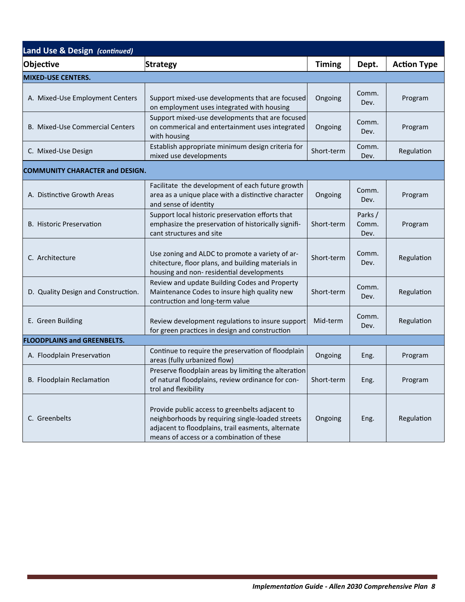| Land Use & Design (continued)          |                                                                                                                                                                                                        |               |                         |                    |
|----------------------------------------|--------------------------------------------------------------------------------------------------------------------------------------------------------------------------------------------------------|---------------|-------------------------|--------------------|
| <b>Objective</b>                       | <b>Strategy</b>                                                                                                                                                                                        | <b>Timing</b> | Dept.                   | <b>Action Type</b> |
| MIXED-USE CENTERS.                     |                                                                                                                                                                                                        |               |                         |                    |
| A. Mixed-Use Employment Centers        | Support mixed-use developments that are focused<br>on employment uses integrated with housing                                                                                                          | Ongoing       | Comm.<br>Dev.           | Program            |
| B. Mixed-Use Commercial Centers        | Support mixed-use developments that are focused<br>on commerical and entertainment uses integrated<br>with housing                                                                                     | Ongoing       | Comm.<br>Dev.           | Program            |
| C. Mixed-Use Design                    | Establish appropriate minimum design criteria for<br>mixed use developments                                                                                                                            | Short-term    | Comm.<br>Dev.           | Regulation         |
| <b>COMMUNITY CHARACTER and DESIGN.</b> |                                                                                                                                                                                                        |               |                         |                    |
| A. Distinctive Growth Areas            | Facilitate the development of each future growth<br>area as a unique place with a distinctive character<br>and sense of identity                                                                       | Ongoing       | Comm.<br>Dev.           | Program            |
| B. Historic Preservation               | Support local historic preservation efforts that<br>emphasize the preservation of historically signifi-<br>cant structures and site                                                                    | Short-term    | Parks/<br>Comm.<br>Dev. | Program            |
| C. Architecture                        | Use zoning and ALDC to promote a variety of ar-<br>chitecture, floor plans, and building materials in<br>housing and non-residential developments                                                      | Short-term    | Comm.<br>Dev.           | Regulation         |
| D. Quality Design and Construction.    | Review and update Building Codes and Property<br>Maintenance Codes to insure high quality new<br>contruction and long-term value                                                                       | Short-term    | Comm.<br>Dev.           | Regulation         |
| E. Green Building                      | Review development regulations to insure support<br>for green practices in design and construction                                                                                                     | Mid-term      | Comm.<br>Dev.           | Regulation         |
| <b>FLOODPLAINS and GREENBELTS.</b>     |                                                                                                                                                                                                        |               |                         |                    |
| A. Floodplain Preservation             | Continue to require the preservation of floodplain<br>areas (fully urbanized flow)                                                                                                                     | Ongoing       | Eng.                    | Program            |
| B. Floodplain Reclamation              | Preserve floodplain areas by limiting the alteration<br>of natural floodplains, review ordinance for con-<br>trol and flexibility                                                                      | Short-term    | Eng.                    | Program            |
| C. Greenbelts                          | Provide public access to greenbelts adjacent to<br>neighborhoods by requiring single-loaded streets<br>adjacent to floodplains, trail easments, alternate<br>means of access or a combination of these | Ongoing       | Eng.                    | Regulation         |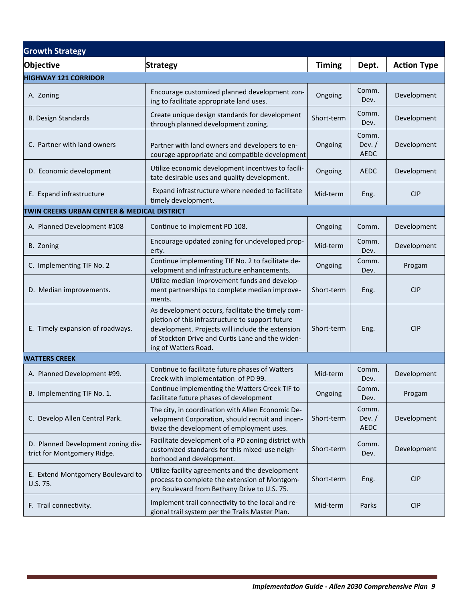| <b>Growth Strategy</b>                                            |                                                                                                                                                                                                                                       |               |                                  |                    |
|-------------------------------------------------------------------|---------------------------------------------------------------------------------------------------------------------------------------------------------------------------------------------------------------------------------------|---------------|----------------------------------|--------------------|
| Objective                                                         | <b>Strategy</b>                                                                                                                                                                                                                       | <b>Timing</b> | Dept.                            | <b>Action Type</b> |
| <b>HIGHWAY 121 CORRIDOR</b>                                       |                                                                                                                                                                                                                                       |               |                                  |                    |
| A. Zoning                                                         | Encourage customized planned development zon-<br>ing to facilitate appropriate land uses.                                                                                                                                             | Ongoing       | Comm.<br>Dev.                    | Development        |
| <b>B. Design Standards</b>                                        | Create unique design standards for development<br>through planned development zoning.                                                                                                                                                 | Short-term    | Comm.<br>Dev.                    | Development        |
| C. Partner with land owners                                       | Partner with land owners and developers to en-<br>courage appropriate and compatible development                                                                                                                                      | Ongoing       | Comm.<br>Dev. $/$<br><b>AEDC</b> | Development        |
| D. Economic development                                           | Utilize economic development incentives to facili-<br>tate desirable uses and quality development.                                                                                                                                    | Ongoing       | <b>AEDC</b>                      | Development        |
| E. Expand infrastructure                                          | Expand infrastructure where needed to facilitate<br>timely development.                                                                                                                                                               | Mid-term      | Eng.                             | <b>CIP</b>         |
| TWIN CREEKS URBAN CENTER & MEDICAL DISTRICT                       |                                                                                                                                                                                                                                       |               |                                  |                    |
| A. Planned Development #108                                       | Continue to implement PD 108.                                                                                                                                                                                                         | Ongoing       | Comm.                            | Development        |
| B. Zoning                                                         | Encourage updated zoning for undeveloped prop-<br>erty.                                                                                                                                                                               | Mid-term      | Comm.<br>Dev.                    | Development        |
| C. Implementing TIF No. 2                                         | Continue implementing TIF No. 2 to facilitate de-<br>velopment and infrastructure enhancements.                                                                                                                                       | Ongoing       | Comm.<br>Dev.                    | Progam             |
| D. Median improvements.                                           | Utilize median improvement funds and develop-<br>ment partnerships to complete median improve-<br>ments.                                                                                                                              | Short-term    | Eng.                             | <b>CIP</b>         |
| E. Timely expansion of roadways.                                  | As development occurs, facilitate the timely com-<br>pletion of this infrastructure to support future<br>development. Projects will include the extension<br>of Stockton Drive and Curtis Lane and the widen-<br>ing of Watters Road. | Short-term    | Eng.                             | <b>CIP</b>         |
| <b>WATTERS CREEK</b>                                              |                                                                                                                                                                                                                                       |               |                                  |                    |
| A. Planned Development #99.                                       | Continue to facilitate future phases of Watters<br>Creek with implementation of PD 99.                                                                                                                                                | Mid-term      | Comm.<br>Dev.                    | Development        |
| B. Implementing TIF No. 1.                                        | Continue implementing the Watters Creek TIF to<br>facilitate future phases of development                                                                                                                                             | Ongoing       | Comm.<br>Dev.                    | Progam             |
| C. Develop Allen Central Park.                                    | The city, in coordination with Allen Economic De-<br>velopment Corporation, should recruit and incen-<br>tivize the development of employment uses.                                                                                   | Short-term    | Comm.<br>Dev. $/$<br><b>AEDC</b> | Development        |
| D. Planned Development zoning dis-<br>trict for Montgomery Ridge. | Facilitate development of a PD zoning district with<br>customized standards for this mixed-use neigh-<br>borhood and development.                                                                                                     | Short-term    | Comm.<br>Dev.                    | Development        |
| E. Extend Montgomery Boulevard to<br>U.S. 75.                     | Utilize facility agreements and the development<br>process to complete the extension of Montgom-<br>ery Boulevard from Bethany Drive to U.S. 75.                                                                                      | Short-term    | Eng.                             | <b>CIP</b>         |
| F. Trail connectivity.                                            | Implement trail connectivity to the local and re-<br>gional trail system per the Trails Master Plan.                                                                                                                                  | Mid-term      | Parks                            | <b>CIP</b>         |